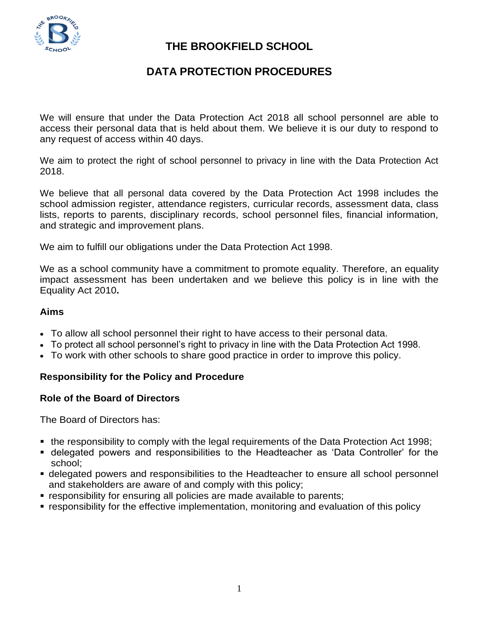

# **THE BROOKFIELD SCHOOL**

# **DATA PROTECTION PROCEDURES**

We will ensure that under the Data Protection Act 2018 all school personnel are able to access their personal data that is held about them. We believe it is our duty to respond to any request of access within 40 days.

We aim to protect the right of school personnel to privacy in line with the Data Protection Act 2018.

We believe that all personal data covered by the Data Protection Act 1998 includes the school admission register, attendance registers, curricular records, assessment data, class lists, reports to parents, disciplinary records, school personnel files, financial information, and strategic and improvement plans.

We aim to fulfill our obligations under the Data Protection Act 1998.

We as a school community have a commitment to promote equality. Therefore, an equality impact assessment has been undertaken and we believe this policy is in line with the Equality Act 2010**.**

### **Aims**

- To allow all school personnel their right to have access to their personal data.
- To protect all school personnel's right to privacy in line with the Data Protection Act 1998.
- To work with other schools to share good practice in order to improve this policy.

## **Responsibility for the Policy and Procedure**

## **Role of the Board of Directors**

The Board of Directors has:

- the responsibility to comply with the legal requirements of the Data Protection Act 1998;
- delegated powers and responsibilities to the Headteacher as 'Data Controller' for the school;
- delegated powers and responsibilities to the Headteacher to ensure all school personnel and stakeholders are aware of and comply with this policy;
- responsibility for ensuring all policies are made available to parents;
- **•** responsibility for the effective implementation, monitoring and evaluation of this policy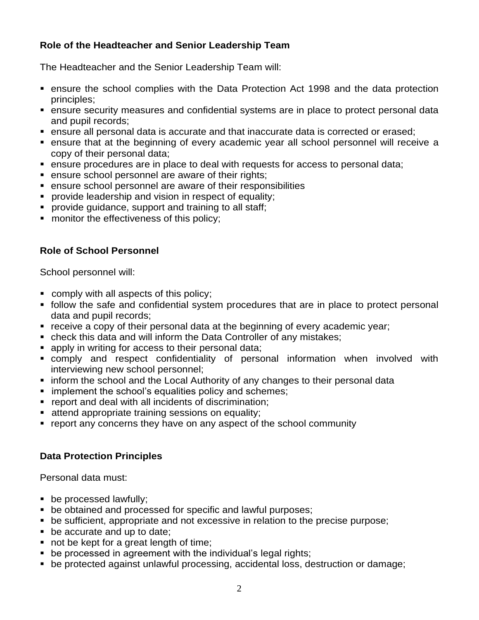# **Role of the Headteacher and Senior Leadership Team**

The Headteacher and the Senior Leadership Team will:

- ensure the school complies with the Data Protection Act 1998 and the data protection principles;
- ensure security measures and confidential systems are in place to protect personal data and pupil records;
- ensure all personal data is accurate and that inaccurate data is corrected or erased;
- ensure that at the beginning of every academic year all school personnel will receive a copy of their personal data;
- ensure procedures are in place to deal with requests for access to personal data;
- **EXE** ensure school personnel are aware of their rights;
- ensure school personnel are aware of their responsibilities
- **provide leadership and vision in respect of equality;**
- **provide guidance, support and training to all staff;**
- **number** monitor the effectiveness of this policy;

# **Role of School Personnel**

School personnel will:

- comply with all aspects of this policy;
- follow the safe and confidential system procedures that are in place to protect personal data and pupil records;
- receive a copy of their personal data at the beginning of every academic year;
- check this data and will inform the Data Controller of any mistakes;
- **p** apply in writing for access to their personal data;
- comply and respect confidentiality of personal information when involved with interviewing new school personnel;
- **inform the school and the Local Authority of any changes to their personal data**
- **implement the school's equalities policy and schemes;**
- **•** report and deal with all incidents of discrimination;
- **EXECTE:** attend appropriate training sessions on equality;
- report any concerns they have on any aspect of the school community

## **Data Protection Principles**

Personal data must:

- be processed lawfully;
- be obtained and processed for specific and lawful purposes;
- be sufficient, appropriate and not excessive in relation to the precise purpose;
- **be accurate and up to date;**
- not be kept for a great length of time;
- **be processed in agreement with the individual's legal rights;**
- be protected against unlawful processing, accidental loss, destruction or damage;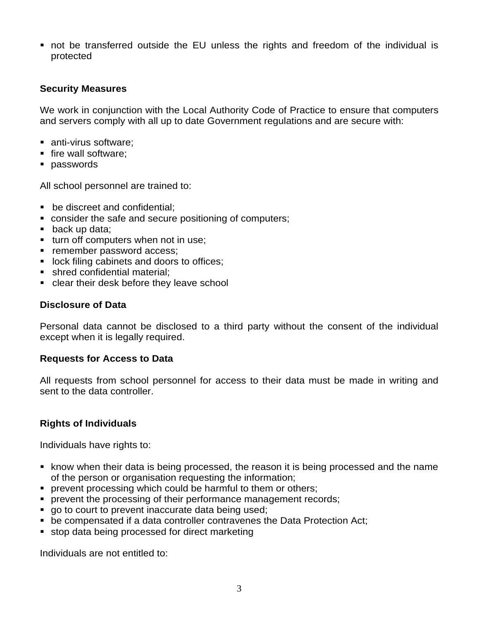not be transferred outside the EU unless the rights and freedom of the individual is protected

### **Security Measures**

We work in conjunction with the Local Authority Code of Practice to ensure that computers and servers comply with all up to date Government regulations and are secure with:

- anti-virus software;
- $\blacksquare$  fire wall software:
- **passwords**

All school personnel are trained to:

- **•** be discreet and confidential:
- consider the safe and secure positioning of computers;
- back up data;
- turn off computers when not in use;
- **Fig. 5** remember password access;
- **If** lock filing cabinets and doors to offices;
- shred confidential material;
- clear their desk before they leave school

#### **Disclosure of Data**

Personal data cannot be disclosed to a third party without the consent of the individual except when it is legally required.

#### **Requests for Access to Data**

All requests from school personnel for access to their data must be made in writing and sent to the data controller.

## **Rights of Individuals**

Individuals have rights to:

- know when their data is being processed, the reason it is being processed and the name of the person or organisation requesting the information;
- **Perormal processing which could be harmful to them or others;**
- **PERITM** processing of their performance management records;
- go to court to prevent inaccurate data being used;
- be compensated if a data controller contravenes the Data Protection Act;
- **stop data being processed for direct marketing**

Individuals are not entitled to: